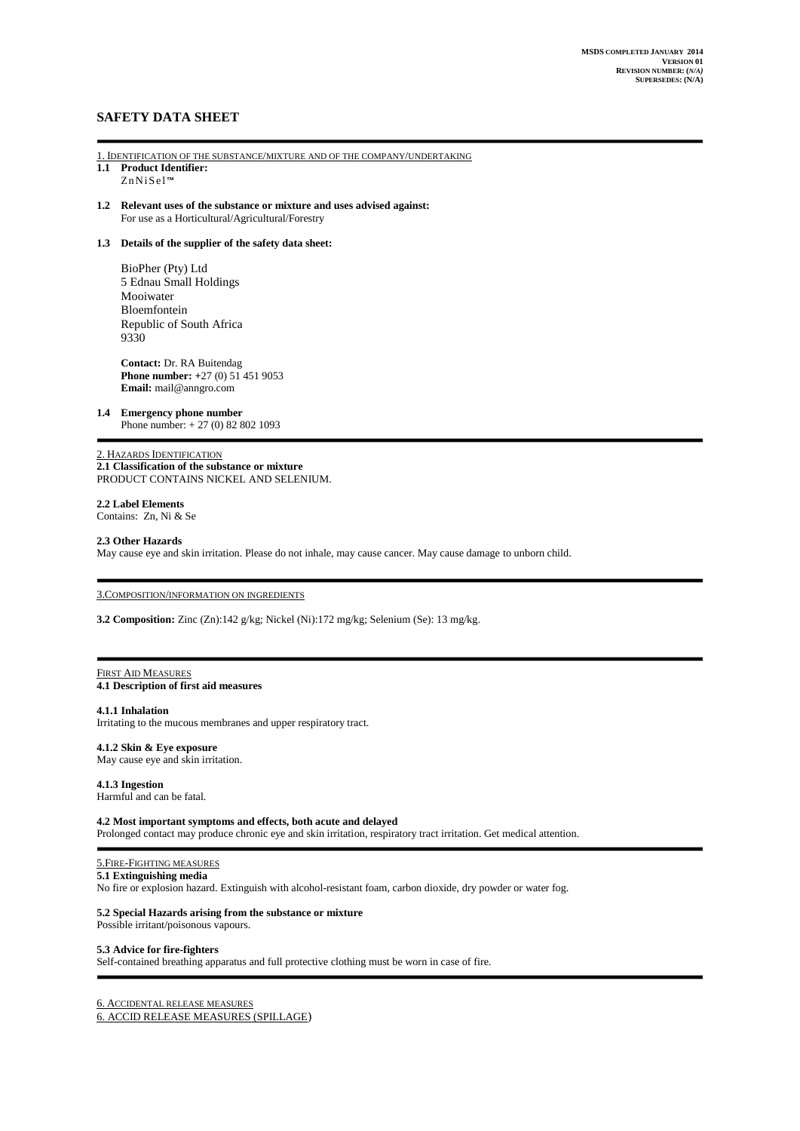# **SAFETY DATA SHEET**

- 1. IDENTIFICATION OF THE SUBSTANCE/MIXTURE AND OF THE COMPANY/UNDERTAKING **1.1 Product Identifier:**
- Zn NiS el™
- **1.2 Relevant uses of the substance or mixture and uses advised against:** For use as a Horticultural/Agricultural/Forestry

### **1.3 Details of the supplier of the safety data sheet:**

BioPher (Pty) Ltd 5 Ednau Small Holdings Mooiwater Bloemfontein Republic of South Africa 9330

**Contact:** Dr. RA Buitendag **Phone number: +**27 (0) 51 451 9053 **Email:** mail@anngro.com

### **1.4 Emergency phone number**

Phone number: + 27 (0) 82 802 1093

## 2. HAZARDS IDENTIFICATION

**2.1 Classification of the substance or mixture**  PRODUCT CONTAINS NICKEL AND SELENIUM.

**2.2 Label Elements** Contains: Zn, Ni & Se

#### **2.3 Other Hazards**

May cause eye and skin irritation. Please do not inhale, may cause cancer. May cause damage to unborn child.

# 3.COMPOSITION/INFORMATION ON INGREDIENTS

**3.2 Composition:** Zinc (Zn):142 g/kg; Nickel (Ni):172 mg/kg; Selenium (Se): 13 mg/kg.

### FIRST AID MEASURES **4.1 Description of first aid measures**

### **4.1.1 Inhalation**

Irritating to the mucous membranes and upper respiratory tract.

### **4.1.2 Skin & Eye exposure**

May cause eye and skin irritation.

# **4.1.3 Ingestion**

Harmful and can be fatal.

# **4.2 Most important symptoms and effects, both acute and delayed**

Prolonged contact may produce chronic eye and skin irritation, respiratory tract irritation. Get medical attention.

# 5.FIRE-FIGHTING MEASURES

## **5.1 Extinguishing media**

No fire or explosion hazard. Extinguish with alcohol-resistant foam, carbon dioxide, dry powder or water fog.

### **5.2 Special Hazards arising from the substance or mixture**

Possible irritant/poisonous vapours.

## **5.3 Advice for fire-fighters**

Self-contained breathing apparatus and full protective clothing must be worn in case of fire.

### 6. ACCIDENTAL RELEASE MEASURES 6. ACCID RELEASE MEASURES (SPILLAGE)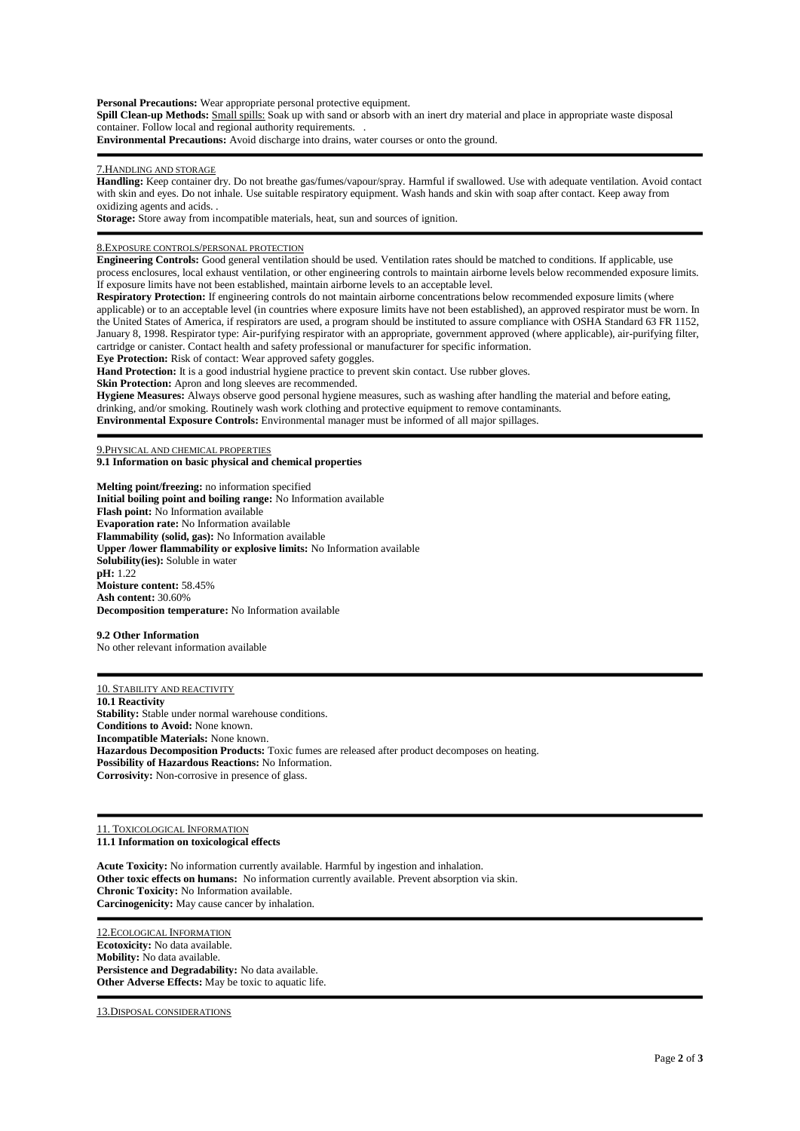**Personal Precautions:** Wear appropriate personal protective equipment. **Spill Clean-up Methods:** Small spills: Soak up with sand or absorb with an inert dry material and place in appropriate waste disposal container. Follow local and regional authority requirements. . **Environmental Precautions:** Avoid discharge into drains, water courses or onto the ground.

7.HANDLING AND STORAGE

**Handling:** Keep container dry. Do not breathe gas/fumes/vapour/spray. Harmful if swallowed. Use with adequate ventilation. Avoid contact with skin and eyes. Do not inhale. Use suitable respiratory equipment. Wash hands and skin with soap after contact. Keep away from oxidizing agents and acids. .

**Storage:** Store away from incompatible materials, heat, sun and sources of ignition.

8.EXPOSURE CONTROLS/PERSONAL PROTECTION

**Engineering Controls:** Good general ventilation should be used. Ventilation rates should be matched to conditions. If applicable, use process enclosures, local exhaust ventilation, or other engineering controls to maintain airborne levels below recommended exposure limits. If exposure limits have not been established, maintain airborne levels to an acceptable level.

**Respiratory Protection:** If engineering controls do not maintain airborne concentrations below recommended exposure limits (where applicable) or to an acceptable level (in countries where exposure limits have not been established), an approved respirator must be worn. In the United States of America, if respirators are used, a program should be instituted to assure compliance with OSHA Standard 63 FR 1152, January 8, 1998. Respirator type: Air-purifying respirator with an appropriate, government approved (where applicable), air-purifying filter, cartridge or canister. Contact health and safety professional or manufacturer for specific information.

**Eye Protection:** Risk of contact: Wear approved safety goggles.

**Hand Protection:** It is a good industrial hygiene practice to prevent skin contact. Use rubber gloves.

**Skin Protection:** Apron and long sleeves are recommended.

**Hygiene Measures:** Always observe good personal hygiene measures, such as washing after handling the material and before eating, drinking, and/or smoking. Routinely wash work clothing and protective equipment to remove contaminants.

**Environmental Exposure Controls:** Environmental manager must be informed of all major spillages.

9.PHYSICAL AND CHEMICAL PROPERTIES

**9.1 Information on basic physical and chemical properties**

**Melting point/freezing:** no information specified **Initial boiling point and boiling range:** No Information available **Flash point:** No Information available **Evaporation rate:** No Information available **Flammability (solid, gas):** No Information available **Upper /lower flammability or explosive limits:** No Information available **Solubility(ies):** Soluble in water **pH:** 1.22 **Moisture content:** 58.45% **Ash content:** 30.60% **Decomposition temperature:** No Information available

#### **9.2 Other Information**

No other relevant information available

10. STABILITY AND REACTIVITY **10.1 Reactivity Stability:** Stable under normal warehouse conditions. **Conditions to Avoid:** None known. **Incompatible Materials:** None known. **Hazardous Decomposition Products:** Toxic fumes are released after product decomposes on heating. **Possibility of Hazardous Reactions:** No Information. **Corrosivity:** Non-corrosive in presence of glass.

11. TOXICOLOGICAL INFORMATION **11.1 Information on toxicological effects**

**Acute Toxicity:** No information currently available. Harmful by ingestion and inhalation. **Other toxic effects on humans:** No information currently available. Prevent absorption via skin. **Chronic Toxicity:** No Information available. **Carcinogenicity:** May cause cancer by inhalation.

12.ECOLOGICAL INFORMATION **Ecotoxicity:** No data available. **Mobility:** No data available. **Persistence and Degradability:** No data available. **Other Adverse Effects:** May be toxic to aquatic life.

13.DISPOSAL CONSIDERATIONS